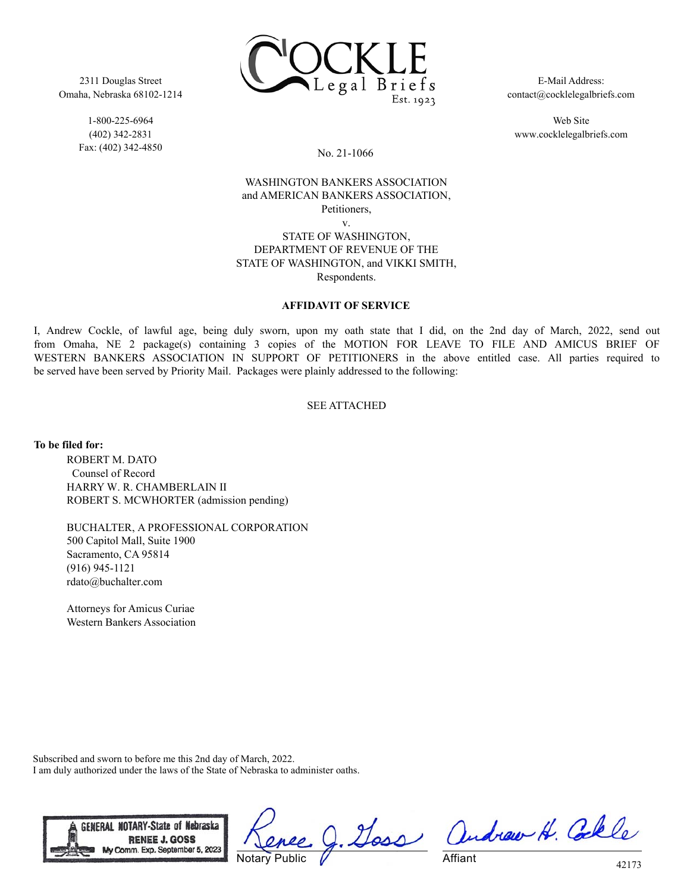2311 Douglas Street Omaha, Nebraska 68102-1214

> 1-800-225-6964 (402) 342-2831 Fax: (402) 342-4850



E-Mail Address: contact@cocklelegalbriefs.com

Web Site www.cocklelegalbriefs.com

No. 21-1066

## WASHINGTON BANKERS ASSOCIATION and AMERICAN BANKERS ASSOCIATION, Petitioners, v.

#### STATE OF WASHINGTON, DEPARTMENT OF REVENUE OF THE STATE OF WASHINGTON, and VIKKI SMITH, Respondents.

## **AFFIDAVIT OF SERVICE**

I, Andrew Cockle, of lawful age, being duly sworn, upon my oath state that I did, on the 2nd day of March, 2022, send out from Omaha, NE 2 package(s) containing 3 copies of the MOTION FOR LEAVE TO FILE AND AMICUS BRIEF OF WESTERN BANKERS ASSOCIATION IN SUPPORT OF PETITIONERS in the above entitled case. All parties required to be served have been served by Priority Mail. Packages were plainly addressed to the following:

#### SEE ATTACHED

**To be filed for:**

ROBERT M. DATO Counsel of Record HARRY W. R. CHAMBERLAIN II ROBERT S. MCWHORTER (admission pending)

BUCHALTER, A PROFESSIONAL CORPORATION 500 Capitol Mall, Suite 1900 Sacramento, CA 95814 (916) 945-1121 rdato@buchalter.com

Attorneys for Amicus Curiae Western Bankers Association

Subscribed and sworn to before me this 2nd day of March, 2022. I am duly authorized under the laws of the State of Nebraska to administer oaths.



Notary Public

g. Goss andrew H. Colle